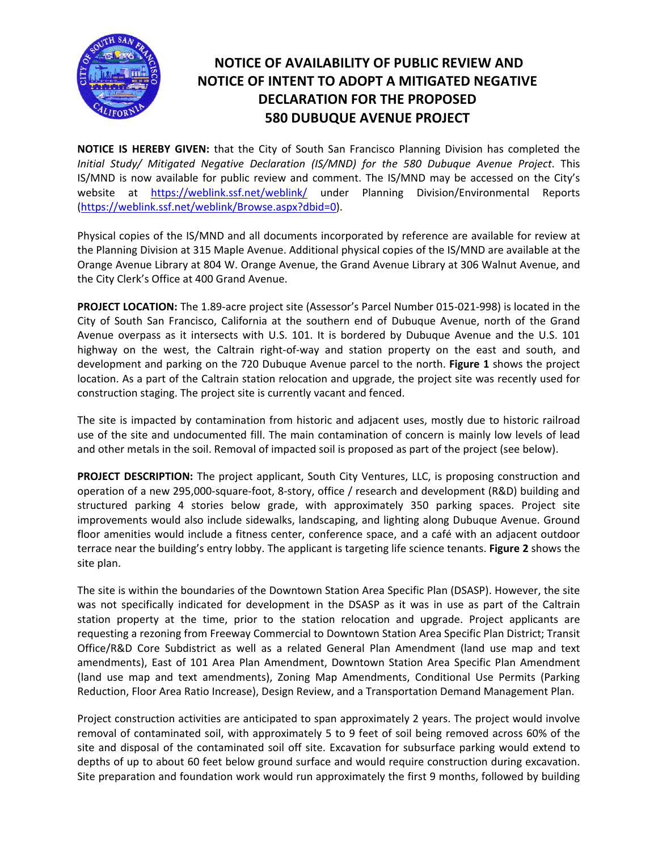

## **NOTICE OF AVAILABILITY OF PUBLIC REVIEW AND NOTICE OF INTENT TO ADOPT A MITIGATED NEGATIVE DECLARATION FOR THE PROPOSED 580 DUBUQUE AVENUE PROJECT**

**NOTICE IS HEREBY GIVEN:** that the City of South San Francisco Planning Division has completed the *Initial Study/ Mitigated Negative Declaration (IS/MND) for the 580 Dubuque Avenue Project*. This IS/MND is now available for public review and comment. The IS/MND may be accessed on the City's website at https://weblink.ssf.net/weblink/ under Planning Division/Environmental Reports (https://weblink.ssf.net/weblink/Browse.aspx?dbid=0).

Physical copies of the IS/MND and all documents incorporated by reference are available for review at the Planning Division at 315 Maple Avenue. Additional physical copies of the IS/MND are available at the Orange Avenue Library at 804 W. Orange Avenue, the Grand Avenue Library at 306 Walnut Avenue, and the City Clerk's Office at 400 Grand Avenue.

**PROJECT LOCATION:** The 1.89‐acre project site (Assessor's Parcel Number 015‐021‐998) is located in the City of South San Francisco, California at the southern end of Dubuque Avenue, north of the Grand Avenue overpass as it intersects with U.S. 101. It is bordered by Dubuque Avenue and the U.S. 101 highway on the west, the Caltrain right-of-way and station property on the east and south, and development and parking on the 720 Dubuque Avenue parcel to the north. **Figure 1** shows the project location. As a part of the Caltrain station relocation and upgrade, the project site was recently used for construction staging. The project site is currently vacant and fenced.

The site is impacted by contamination from historic and adjacent uses, mostly due to historic railroad use of the site and undocumented fill. The main contamination of concern is mainly low levels of lead and other metals in the soil. Removal of impacted soil is proposed as part of the project (see below).

**PROJECT DESCRIPTION:** The project applicant, South City Ventures, LLC, is proposing construction and operation of a new 295,000‐square‐foot, 8‐story, office / research and development (R&D) building and structured parking 4 stories below grade, with approximately 350 parking spaces. Project site improvements would also include sidewalks, landscaping, and lighting along Dubuque Avenue. Ground floor amenities would include a fitness center, conference space, and a café with an adjacent outdoor terrace near the building's entry lobby. The applicant is targeting life science tenants. **Figure 2** shows the site plan.

The site is within the boundaries of the Downtown Station Area Specific Plan (DSASP). However, the site was not specifically indicated for development in the DSASP as it was in use as part of the Caltrain station property at the time, prior to the station relocation and upgrade. Project applicants are requesting a rezoning from Freeway Commercial to Downtown Station Area Specific Plan District; Transit Office/R&D Core Subdistrict as well as a related General Plan Amendment (land use map and text amendments), East of 101 Area Plan Amendment, Downtown Station Area Specific Plan Amendment (land use map and text amendments), Zoning Map Amendments, Conditional Use Permits (Parking Reduction, Floor Area Ratio Increase), Design Review, and a Transportation Demand Management Plan.

Project construction activities are anticipated to span approximately 2 years. The project would involve removal of contaminated soil, with approximately 5 to 9 feet of soil being removed across 60% of the site and disposal of the contaminated soil off site. Excavation for subsurface parking would extend to depths of up to about 60 feet below ground surface and would require construction during excavation. Site preparation and foundation work would run approximately the first 9 months, followed by building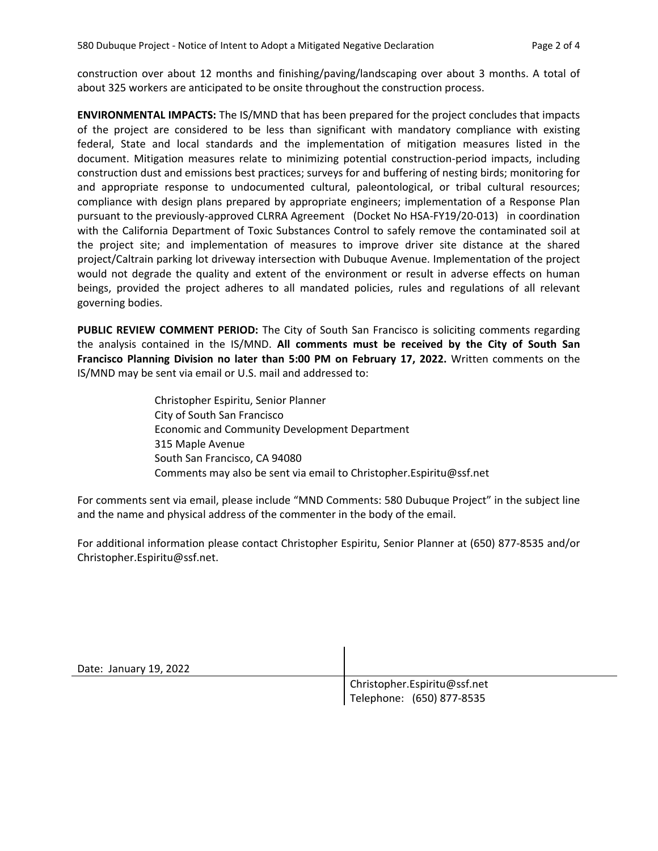construction over about 12 months and finishing/paving/landscaping over about 3 months. A total of about 325 workers are anticipated to be onsite throughout the construction process.

**ENVIRONMENTAL IMPACTS:** The IS/MND that has been prepared for the project concludes that impacts of the project are considered to be less than significant with mandatory compliance with existing federal, State and local standards and the implementation of mitigation measures listed in the document. Mitigation measures relate to minimizing potential construction‐period impacts, including construction dust and emissions best practices; surveys for and buffering of nesting birds; monitoring for and appropriate response to undocumented cultural, paleontological, or tribal cultural resources; compliance with design plans prepared by appropriate engineers; implementation of a Response Plan pursuant to the previously‐approved CLRRA Agreement (Docket No HSA‐FY19/20‐013) in coordination with the California Department of Toxic Substances Control to safely remove the contaminated soil at the project site; and implementation of measures to improve driver site distance at the shared project/Caltrain parking lot driveway intersection with Dubuque Avenue. Implementation of the project would not degrade the quality and extent of the environment or result in adverse effects on human beings, provided the project adheres to all mandated policies, rules and regulations of all relevant governing bodies.

**PUBLIC REVIEW COMMENT PERIOD:** The City of South San Francisco is soliciting comments regarding the analysis contained in the IS/MND. **All comments must be received by the City of South San Francisco Planning Division no later than 5:00 PM on February 17, 2022.** Written comments on the IS/MND may be sent via email or U.S. mail and addressed to:

> Christopher Espiritu, Senior Planner City of South San Francisco Economic and Community Development Department 315 Maple Avenue South San Francisco, CA 94080 Comments may also be sent via email to Christopher.Espiritu@ssf.net

For comments sent via email, please include "MND Comments: 580 Dubuque Project" in the subject line and the name and physical address of the commenter in the body of the email.

For additional information please contact Christopher Espiritu, Senior Planner at (650) 877‐8535 and/or Christopher.Espiritu@ssf.net.

Date: January 19, 2022

 Christopher.Espiritu@ssf.net Telephone: (650) 877‐8535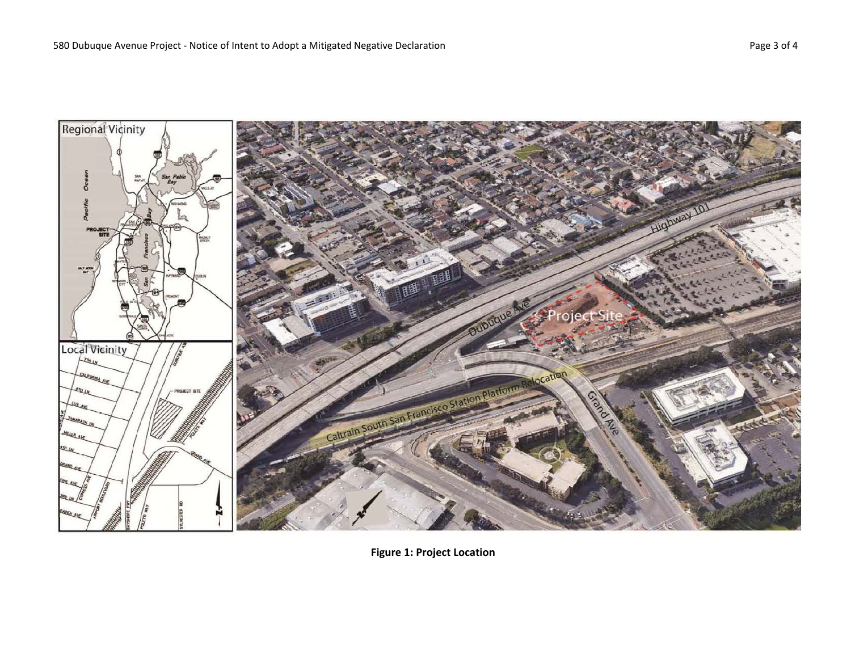

**Figure 1: Project Location**